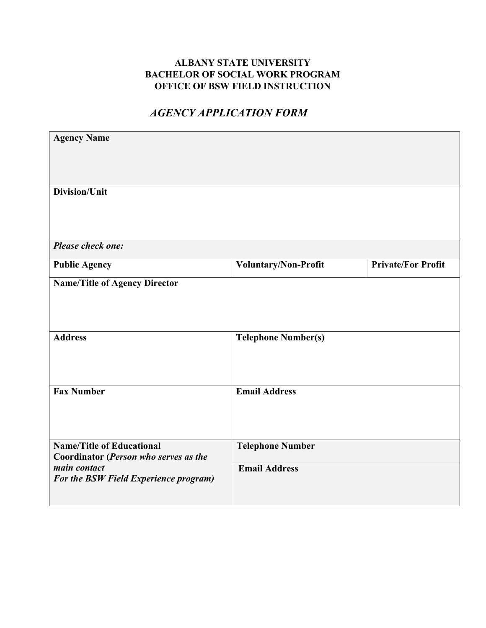## **ALBANY STATE UNIVERSITY BACHELOR OF SOCIAL WORK PROGRAM OFFICE OF BSW FIELD INSTRUCTION**

## *AGENCY APPLICATION FORM*

| <b>Agency Name</b>                                                        |                            |                           |
|---------------------------------------------------------------------------|----------------------------|---------------------------|
| Division/Unit                                                             |                            |                           |
| <b>Please check one:</b>                                                  |                            |                           |
| <b>Public Agency</b>                                                      | Voluntary/Non-Profit       | <b>Private/For Profit</b> |
| <b>Name/Title of Agency Director</b><br><b>Address</b>                    | <b>Telephone Number(s)</b> |                           |
| <b>Fax Number</b>                                                         | <b>Email Address</b>       |                           |
| <b>Name/Title of Educational</b><br>Coordinator (Person who serves as the | <b>Telephone Number</b>    |                           |
| main contact<br>For the BSW Field Experience program)                     | <b>Email Address</b>       |                           |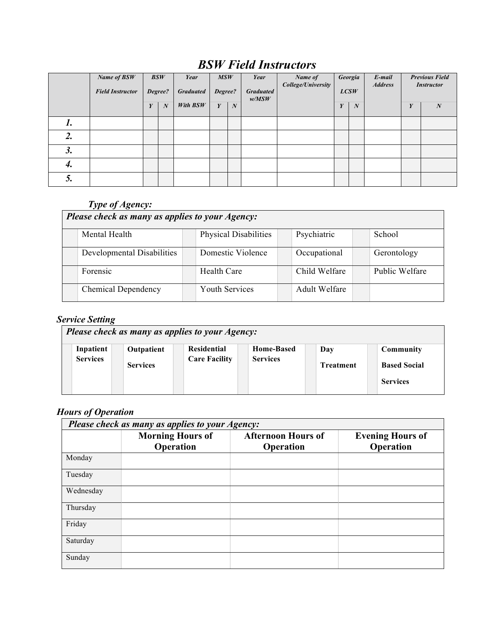# *BSW Field Instructors*

|    | Name of BSW<br><b>Field Instructor</b> |   | BSW<br>Degree?   | Year<br><b>Graduated</b> | MSW<br>Degree? |   | Year<br><b>Graduated</b><br>w/MSW | Name of<br>College/University |   | Georgia<br>LCSW | E-mail<br><b>Address</b> |   | <b>Previous Field</b><br><b>Instructor</b> |
|----|----------------------------------------|---|------------------|--------------------------|----------------|---|-----------------------------------|-------------------------------|---|-----------------|--------------------------|---|--------------------------------------------|
|    |                                        | Y | $\boldsymbol{N}$ | With BSW                 | Y              | N |                                   |                               | Y | N               |                          | Y | $\boldsymbol{N}$                           |
|    |                                        |   |                  |                          |                |   |                                   |                               |   |                 |                          |   |                                            |
| 2. |                                        |   |                  |                          |                |   |                                   |                               |   |                 |                          |   |                                            |
| 3. |                                        |   |                  |                          |                |   |                                   |                               |   |                 |                          |   |                                            |
| 4. |                                        |   |                  |                          |                |   |                                   |                               |   |                 |                          |   |                                            |
|    |                                        |   |                  |                          |                |   |                                   |                               |   |                 |                          |   |                                            |

## *Type of Agency:*

| Please check as many as applies to your Agency: |  |                       |  |                      |  |                |
|-------------------------------------------------|--|-----------------------|--|----------------------|--|----------------|
| Mental Health                                   |  | Physical Disabilities |  | Psychiatric          |  | School         |
| Developmental Disabilities                      |  | Domestic Violence     |  | Occupational         |  | Gerontology    |
| Forensic                                        |  | Health Care           |  | Child Welfare        |  | Public Welfare |
| <b>Chemical Dependency</b>                      |  | <b>Youth Services</b> |  | <b>Adult Welfare</b> |  |                |

### *Service Setting*

| Please check as many as applies to your Agency:                                                                                                     |                                                                                       |  |  |  |  |  |  |
|-----------------------------------------------------------------------------------------------------------------------------------------------------|---------------------------------------------------------------------------------------|--|--|--|--|--|--|
| <b>Residential</b><br>Inpatient<br><b>Home-Based</b><br>Outpatient<br><b>Services</b><br><b>Care Facility</b><br><b>Services</b><br><b>Services</b> | <b>Community</b><br>Day<br><b>Based Social</b><br><b>Treatment</b><br><b>Services</b> |  |  |  |  |  |  |

## *Hours of Operation*

| Please check as many as applies to your Agency: |                                      |                                        |                                      |  |  |  |
|-------------------------------------------------|--------------------------------------|----------------------------------------|--------------------------------------|--|--|--|
|                                                 | <b>Morning Hours of</b><br>Operation | <b>Afternoon Hours of</b><br>Operation | <b>Evening Hours of</b><br>Operation |  |  |  |
| Monday                                          |                                      |                                        |                                      |  |  |  |
| Tuesday                                         |                                      |                                        |                                      |  |  |  |
| Wednesday                                       |                                      |                                        |                                      |  |  |  |
| Thursday                                        |                                      |                                        |                                      |  |  |  |
| Friday                                          |                                      |                                        |                                      |  |  |  |
| Saturday                                        |                                      |                                        |                                      |  |  |  |
| Sunday                                          |                                      |                                        |                                      |  |  |  |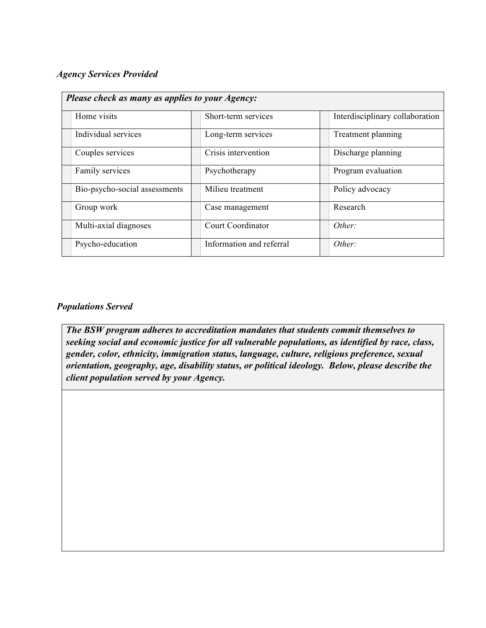#### *Agency Services Provided*

| Please check as many as applies to your Agency: |                          |                                 |  |  |  |
|-------------------------------------------------|--------------------------|---------------------------------|--|--|--|
| Home visits                                     | Short-term services      | Interdisciplinary collaboration |  |  |  |
| Individual services                             | Long-term services       | Treatment planning              |  |  |  |
| Couples services                                | Crisis intervention      | Discharge planning              |  |  |  |
| Family services                                 | Psychotherapy            | Program evaluation              |  |  |  |
| Bio-psycho-social assessments                   | Milieu treatment         | Policy advocacy                 |  |  |  |
| Group work                                      | Case management          | Research                        |  |  |  |
| Multi-axial diagnoses                           | Court Coordinator        | Other:                          |  |  |  |
| Psycho-education                                | Information and referral | Other:                          |  |  |  |

#### *Populations Served*

*The BSW program adheres to accreditation mandates that students commit themselves to seeking social and economic justice for all vulnerable populations, as identified by race, class, gender, color, ethnicity, immigration status, language, culture, religious preference, sexual orientation, geography, age, disability status, or political ideology. Below, please describe the client population served by your Agency.*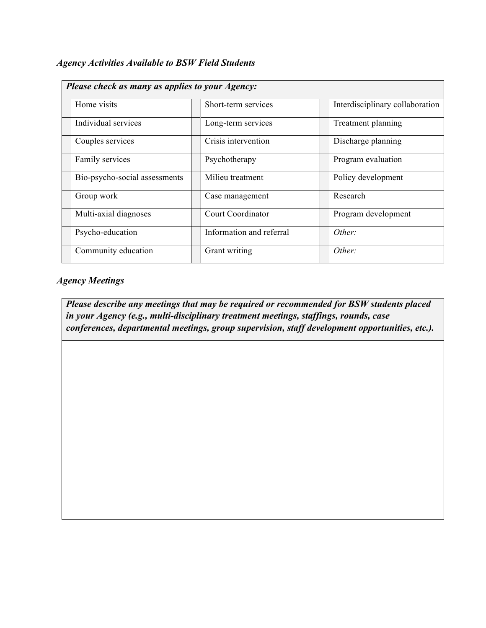| <b>Agency Activities Available to BSW Field Students</b> |  |  |  |
|----------------------------------------------------------|--|--|--|
|----------------------------------------------------------|--|--|--|

| Please check as many as applies to your Agency: |                          |                                 |  |  |
|-------------------------------------------------|--------------------------|---------------------------------|--|--|
| Home visits                                     | Short-term services      | Interdisciplinary collaboration |  |  |
| Individual services                             | Long-term services       | Treatment planning              |  |  |
| Couples services                                | Crisis intervention      | Discharge planning              |  |  |
| Family services                                 | Psychotherapy            | Program evaluation              |  |  |
| Bio-psycho-social assessments                   | Milieu treatment         | Policy development              |  |  |
| Group work                                      | Case management          | Research                        |  |  |
| Multi-axial diagnoses                           | Court Coordinator        | Program development             |  |  |
| Psycho-education                                | Information and referral | Other:                          |  |  |
| Community education                             | Grant writing            | Other:                          |  |  |

## *Agency Meetings*

*Please describe any meetings that may be required or recommended for BSW students placed in your Agency (e.g., multi-disciplinary treatment meetings, staffings, rounds, case conferences, departmental meetings, group supervision, staff development opportunities, etc.).*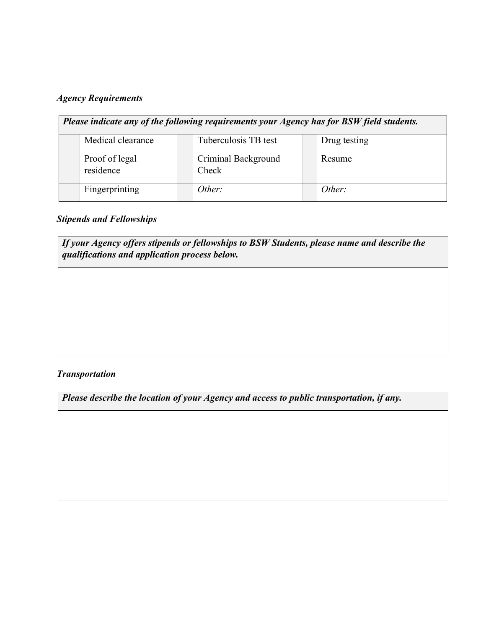## *Agency Requirements*

| Please indicate any of the following requirements your Agency has for BSW field students. |                              |              |  |  |  |
|-------------------------------------------------------------------------------------------|------------------------------|--------------|--|--|--|
| Medical clearance                                                                         | Tuberculosis TB test         | Drug testing |  |  |  |
| Proof of legal<br>residence                                                               | Criminal Background<br>Check | Resume       |  |  |  |
| Fingerprinting                                                                            | Other:                       | Other:       |  |  |  |

## *Stipends and Fellowships*

*If your Agency offers stipends or fellowships to BSW Students, please name and describe the qualifications and application process below.* 

#### *Transportation*

*Please describe the location of your Agency and access to public transportation, if any.*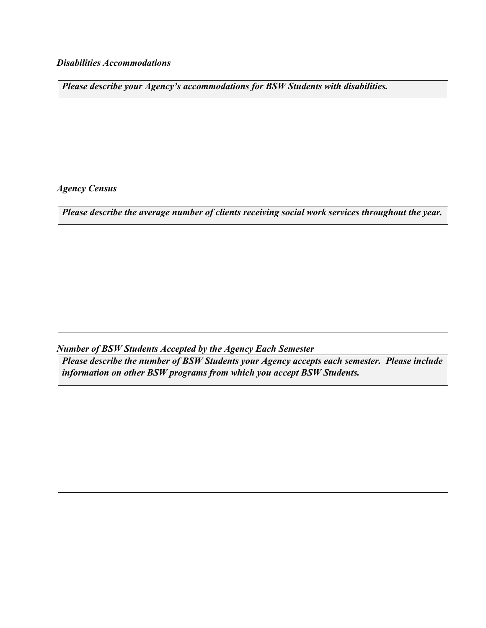#### *Disabilities Accommodations*

*Please describe your Agency's accommodations for BSW Students with disabilities.* 

#### *Agency Census*

*Please describe the average number of clients receiving social work services throughout the year.* 

*Number of BSW Students Accepted by the Agency Each Semester* 

*Please describe the number of BSW Students your Agency accepts each semester. Please include information on other BSW programs from which you accept BSW Students.*